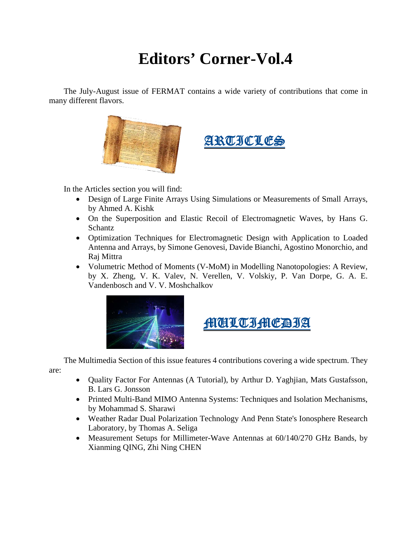## **Editors' Corner-Vol.4**

The July-August issue of FERMAT contains a wide variety of contributions that come in many different flavors.





In the Articles section you will find:

- Design of Large Finite Arrays Using Simulations or Measurements of Small Arrays, by Ahmed A. Kishk
- On the Superposition and Elastic Recoil of Electromagnetic Waves, by Hans G. Schantz
- Optimization Techniques for Electromagnetic Design with Application to Loaded Antenna and Arrays, by Simone Genovesi, Davide Bianchi, Agostino Monorchio, and Raj Mittra
- Volumetric Method of Moments (V-MoM) in Modelling Nanotopologies: A Review, by X. Zheng, V. K. Valev, N. Verellen, V. Volskiy, P. Van Dorpe, G. A. E. Vandenbosch and V. V. Moshchalkov





The Multimedia Section of this issue features 4 contributions covering a wide spectrum. They are:

- Quality Factor For Antennas (A Tutorial), by Arthur D. Yaghjian, Mats Gustafsson, B. Lars G. Jonsson
- Printed Multi-Band MIMO Antenna Systems: Techniques and Isolation Mechanisms, by Mohammad S. Sharawi
- Weather Radar Dual Polarization Technology And Penn State's Ionosphere Research Laboratory, by Thomas A. Seliga
- Measurement Setups for Millimeter-Wave Antennas at 60/140/270 GHz Bands, by Xianming QING, Zhi Ning CHEN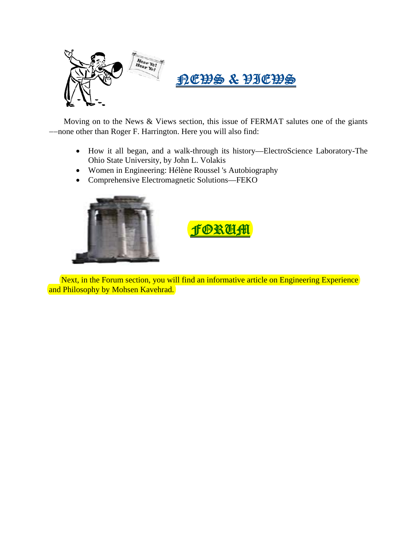

Moving on to the News & Views section, this issue of FERMAT salutes one of the giants --none other than Roger F. Harrington. Here you will also find:

- How it all began, and a walk-through its history—ElectroScience Laboratory-The Ohio State University, by John L. Volakis
- Women in Engineering: Hélène Roussel 's Autobiography
- Comprehensive Electromagnetic Solutions—FEKO



## **fORUM**

Next, in the Forum section, you will find an informative article on Engineering Experience and Philosophy by Mohsen Kavehrad.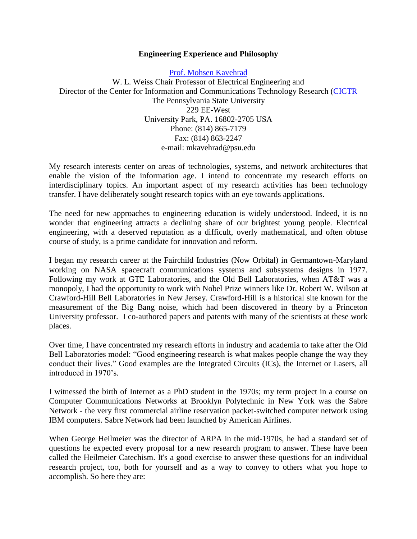## **Engineering Experience and Philosophy**

[Prof. Mohsen Kavehrad](http://cictr.ee.psu.edu/facstaff/kavehrad/index.html) W. L. Weiss Chair Professor of Electrical Engineering and Director of the Center for Information and Communications Technology Research [\(CICTR](http://cictr.ee.psu.edu/) The Pennsylvania State University 229 EE-West University Park, PA. 16802-2705 USA Phone: (814) 865-7179 Fax: (814) 863-2247 e-mail: mkavehrad@psu.edu

My research interests center on areas of technologies, systems, and network architectures that enable the vision of the information age. I intend to concentrate my research efforts on interdisciplinary topics. An important aspect of my research activities has been technology transfer. I have deliberately sought research topics with an eye towards applications.

The need for new approaches to engineering education is widely understood. Indeed, it is no wonder that engineering attracts a declining share of our brightest young people. Electrical engineering, with a deserved reputation as a difficult, overly mathematical, and often obtuse course of study, is a prime candidate for innovation and reform.

I began my research career at the Fairchild Industries (Now Orbital) in Germantown-Maryland working on NASA spacecraft communications systems and subsystems designs in 1977. Following my work at GTE Laboratories, and the Old Bell Laboratories, when AT&T was a monopoly, I had the opportunity to work with Nobel Prize winners like Dr. Robert W. Wilson at Crawford-Hill Bell Laboratories in New Jersey. Crawford-Hill is a historical site known for the measurement of the Big Bang noise, which had been discovered in theory by a Princeton University professor. I co-authored papers and patents with many of the scientists at these work places.

Over time, I have concentrated my research efforts in industry and academia to take after the Old Bell Laboratories model: "Good engineering research is what makes people change the way they conduct their lives." Good examples are the Integrated Circuits (ICs), the Internet or Lasers, all introduced in 1970's.

I witnessed the birth of Internet as a PhD student in the 1970s; my term project in a course on Computer Communications Networks at Brooklyn Polytechnic in New York was the Sabre Network - the very first commercial airline reservation packet-switched computer network using IBM computers. Sabre Network had been launched by American Airlines.

When George Heilmeier was the director of ARPA in the mid-1970s, he had a standard set of questions he expected every proposal for a new research program to answer. These have been called the Heilmeier Catechism. It's a good exercise to answer these questions for an individual research project, too, both for yourself and as a way to convey to others what you hope to accomplish. So here they are: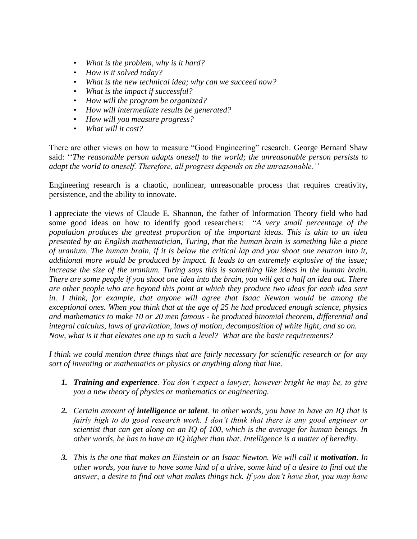- *What is the problem, why is it hard?*
- *How is it solved today?*
- *What is the new technical idea; why can we succeed now?*
- *What is the impact if successful?*
- *How will the program be organized?*
- *How will intermediate results be generated?*
- *How will you measure progress?*
- *What will it cost?*

There are other views on how to measure "Good Engineering" research. George Bernard Shaw said: ''*The reasonable person adapts oneself to the world; the unreasonable person persists to adapt the world to oneself. Therefore, all progress depends on the unreasonable.''*

Engineering research is a chaotic, nonlinear, unreasonable process that requires creativity, persistence, and the ability to innovate.

I appreciate the views of Claude E. Shannon, the father of Information Theory field who had some good ideas on how to identify good researchers: "*A very small percentage of the population produces the greatest proportion of the important ideas. This is akin to an idea presented by an English mathematician, Turing, that the human brain is something like a piece of uranium. The human brain, if it is below the critical lap and you shoot one neutron into it, additional more would be produced by impact. It leads to an extremely explosive of the issue; increase the size of the uranium. Turing says this is something like ideas in the human brain. There are some people if you shoot one idea into the brain, you will get a half an idea out. There are other people who are beyond this point at which they produce two ideas for each idea sent in. I think, for example, that anyone will agree that Isaac Newton would be among the exceptional ones. When you think that at the age of 25 he had produced enough science, physics and mathematics to make 10 or 20 men famous - he produced binomial theorem, differential and integral calculus, laws of gravitation, laws of motion, decomposition of white light, and so on. Now, what is it that elevates one up to such a level? What are the basic requirements?* 

*I think we could mention three things that are fairly necessary for scientific research or for any sort of inventing or mathematics or physics or anything along that line.*

- *1. Training and experience. You don't expect a lawyer, however bright he may be, to give you a new theory of physics or mathematics or engineering.*
- *2. Certain amount of intelligence or talent. In other words, you have to have an IQ that is fairly high to do good research work. I don't think that there is any good engineer or scientist that can get along on an IQ of 100, which is the average for human beings. In other words, he has to have an IQ higher than that. Intelligence is a matter of heredity.*
- **3.** *This is the one that makes an Einstein or an Isaac Newton. We will call it motivation. In other words, you have to have some kind of a drive, some kind of a desire to find out the answer, a desire to find out what makes things tick. If you don't have that, you may have*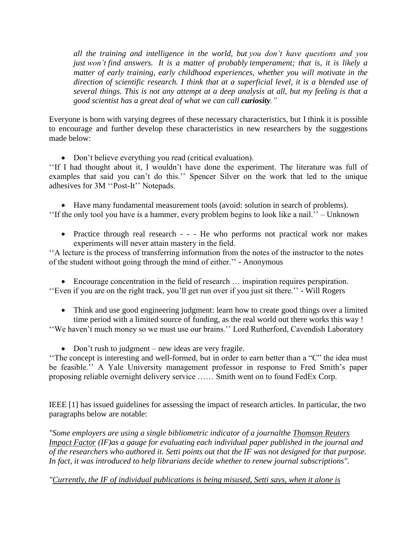*all the training and intelligence in the world, but you don't have questions and you just won't find answers. It is a matter of probably temperament; that is, it is likely a matter of early training, early childhood experiences, whether you will motivate in the direction of scientific research. I think that at a superficial level, it is a blended use of several things. This is not any attempt at a deep analysis at all, but my feeling is that a good scientist has a great deal of what we can call curiosity."*

Everyone is born with varying degrees of these necessary characteristics, but I think it is possible to encourage and further develop these characteristics in new researchers by the suggestions made below:

Don't believe everything you read (critical evaluation).

''If I had thought about it, I wouldn't have done the experiment. The literature was full of examples that said you can't do this.'' Spencer Silver on the work that led to the unique adhesives for 3M ''Post-It'' Notepads.

 Have many fundamental measurement tools (avoid: solution in search of problems). ''If the only tool you have is a hammer, every problem begins to look like a nail.'' – Unknown

 Practice through real research - - - He who performs not practical work nor makes experiments will never attain mastery in the field.

''A lecture is the process of transferring information from the notes of the instructor to the notes of the student without going through the mind of either.'' - Anonymous

 Encourage concentration in the field of research … inspiration requires perspiration. ''Even if you are on the right track, you'll get run over if you just sit there.'' - Will Rogers

- Think and use good engineering judgment: learn how to create good things over a limited time period with a limited source of funding, as the real world out there works this way !
- ''We haven't much money so we must use our brains.'' Lord Rutherford, Cavendish Laboratory
	- Don't rush to judgment new ideas are very fragile.

''The concept is interesting and well-formed, but in order to earn better than a "C" the idea must be feasible.'' A Yale University management professor in response to Fred Smith's paper proposing reliable overnight delivery service …… Smith went on to found FedEx Corp.

IEEE [1] has issued guidelines for assessing the impact of research articles. In particular, the two paragraphs below are notable:

*"Some employers are using a single bibliometric indicator of a journalthe [Thomson Reuters](http://thomsonreuters.com/journal-citation-reports/)  [Impact Factor](http://thomsonreuters.com/journal-citation-reports/) (IF)as a gauge for evaluating each individual paper published in the journal and of the researchers who authored it. Setti points out that the IF was not designed for that purpose. In fact, it was introduced to help librarians decide whether to renew journal subscriptions".*

*"Currently, the IF of individual publications is being misused, Setti says, when it alone is*